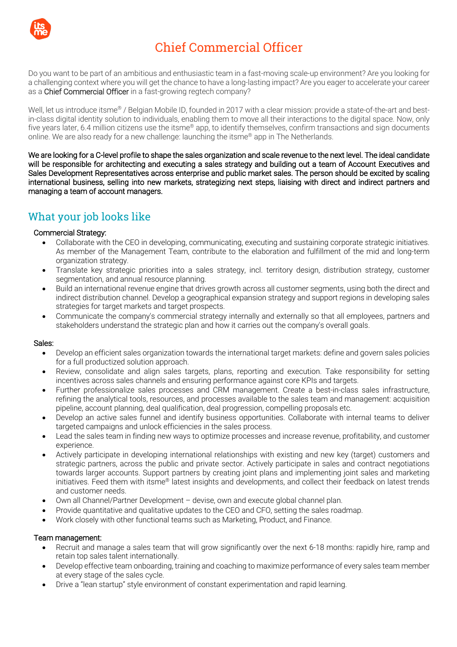

# Chief Commercial Officer

Do you want to be part of an ambitious and enthusiastic team in a fast-moving scale-up environment? Are you looking for a challenging context where you will get the chance to have a long-lasting impact? Are you eager to accelerate your career as a Chief Commercial Officer in a fast-growing regtech company?

Well, let us introduce itsme<sup>®</sup> / Belgian Mobile ID, founded in 2017 with a clear mission: provide a state-of-the-art and bestin-class digital identity solution to individuals, enabling them to move all their interactions to the digital space. Now, only five years later, 6.4 million citizens use the itsme® app, to identify themselves, confirm transactions and sign documents online. We are also ready for a new challenge: launching the itsme® app in The Netherlands.

We are looking for a C-level profile to shape the sales organization and scale revenue to the next level. The ideal candidate will be responsible for architecting and executing a sales strategy and building out a team of Account Executives and Sales Development Representatives across enterprise and public market sales. The person should be excited by scaling international business, selling into new markets, strategizing next steps, liaising with direct and indirect partners and managing a team of account managers.

## What your job looks like

#### Commercial Strategy:

- Collaborate with the CEO in developing, communicating, executing and sustaining corporate strategic initiatives. As member of the Management Team, contribute to the elaboration and fulfillment of the mid and long-term organization strategy.
- Translate key strategic priorities into a sales strategy, incl. territory design, distribution strategy, customer segmentation, and annual resource planning.
- Build an international revenue engine that drives growth across all customer segments, using both the direct and indirect distribution channel. Develop a geographical expansion strategy and support regions in developing sales strategies for target markets and target prospects.
- Communicate the company's commercial strategy internally and externally so that all employees, partners and stakeholders understand the strategic plan and how it carries out the company's overall goals.

#### Sales:

- Develop an efficient sales organization towards the international target markets: define and govern sales policies for a full productized solution approach.
- Review, consolidate and align sales targets, plans, reporting and execution. Take responsibility for setting incentives across sales channels and ensuring performance against core KPIs and targets.
- Further professionalize sales processes and CRM management. Create a best-in-class sales infrastructure, refining the analytical tools, resources, and processes available to the sales team and management: acquisition pipeline, account planning, deal qualification, deal progression, compelling proposals etc.
- Develop an active sales funnel and identify business opportunities. Collaborate with internal teams to deliver targeted campaigns and unlock efficiencies in the sales process.
- Lead the sales team in finding new ways to optimize processes and increase revenue, profitability, and customer experience.
- Actively participate in developing international relationships with existing and new key (target) customers and strategic partners, across the public and private sector. Actively participate in sales and contract negotiations towards larger accounts. Support partners by creating joint plans and implementing joint sales and marketing initiatives. Feed them with itsme® latest insights and developments, and collect their feedback on latest trends and customer needs.
- Own all Channel/Partner Development devise, own and execute global channel plan.
- Provide quantitative and qualitative updates to the CEO and CFO, setting the sales roadmap.
- Work closely with other functional teams such as Marketing, Product, and Finance.

#### Team management:

- Recruit and manage a sales team that will grow significantly over the next 6-18 months: rapidly hire, ramp and retain top sales talent internationally.
- Develop effective team onboarding, training and coaching to maximize performance of every sales team member at every stage of the sales cycle.
- Drive a "lean startup" style environment of constant experimentation and rapid learning.